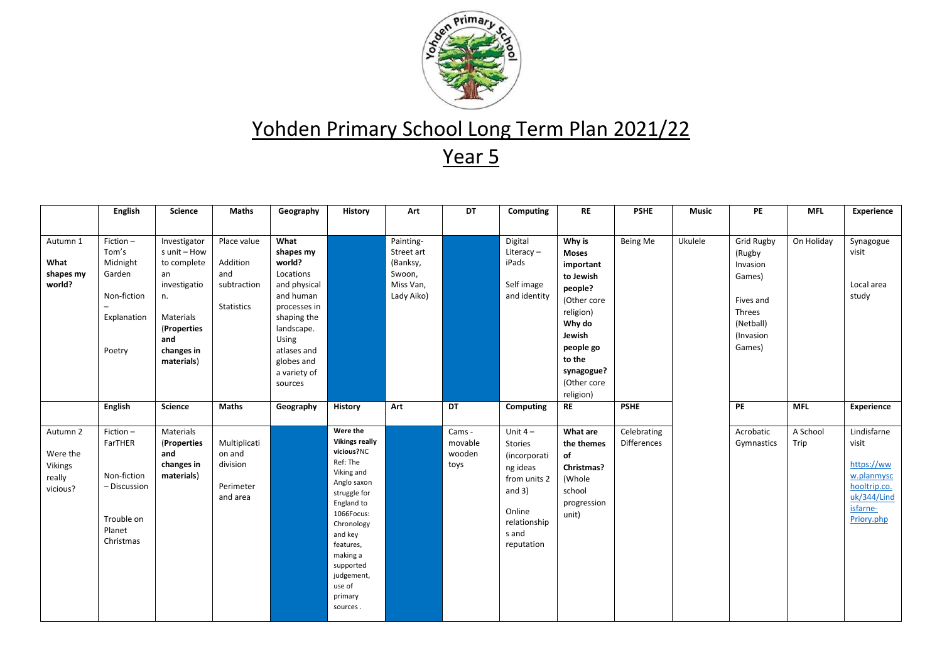

|                                                       | <b>English</b>                                                                          | <b>Science</b>                                                                                                                         | <b>Maths</b>                                                       | Geography                                                                                                                                                                           | History                                                                                                                                                                                                                                            | Art                                                                      | DT                                  | Computing                                                                                                                     | <b>RE</b>                                                                                                                                                       | <b>PSHE</b>                       | <b>Music</b> | PE                                                                                                           | <b>MFL</b>       | <b>Experience</b>                                                                                         |
|-------------------------------------------------------|-----------------------------------------------------------------------------------------|----------------------------------------------------------------------------------------------------------------------------------------|--------------------------------------------------------------------|-------------------------------------------------------------------------------------------------------------------------------------------------------------------------------------|----------------------------------------------------------------------------------------------------------------------------------------------------------------------------------------------------------------------------------------------------|--------------------------------------------------------------------------|-------------------------------------|-------------------------------------------------------------------------------------------------------------------------------|-----------------------------------------------------------------------------------------------------------------------------------------------------------------|-----------------------------------|--------------|--------------------------------------------------------------------------------------------------------------|------------------|-----------------------------------------------------------------------------------------------------------|
|                                                       |                                                                                         |                                                                                                                                        |                                                                    |                                                                                                                                                                                     |                                                                                                                                                                                                                                                    |                                                                          |                                     |                                                                                                                               |                                                                                                                                                                 |                                   |              |                                                                                                              |                  |                                                                                                           |
| Autumn 1<br>What<br>shapes my<br>world?               | Fiction-<br>Tom's<br>Midnight<br>Garden<br>Non-fiction<br>Explanation<br>Poetry         | Investigator<br>s unit - How<br>to complete<br>an<br>investigatio<br>n.<br>Materials<br>(Properties<br>and<br>changes in<br>materials) | Place value<br>Addition<br>and<br>subtraction<br><b>Statistics</b> | What<br>shapes my<br>world?<br>Locations<br>and physical<br>and human<br>processes in<br>shaping the<br>landscape.<br>Using<br>atlases and<br>globes and<br>a variety of<br>sources |                                                                                                                                                                                                                                                    | Painting-<br>Street art<br>(Banksy,<br>Swoon,<br>Miss Van,<br>Lady Aiko) |                                     | Digital<br>Literacy-<br>iPads<br>Self image<br>and identity                                                                   | Why is<br><b>Moses</b><br>important<br>to Jewish<br>people?<br>(Other core<br>religion)<br>Why do<br>Jewish<br>people go<br>to the<br>synagogue?<br>(Other core | Being Me                          | Ukulele      | <b>Grid Rugby</b><br>(Rugby<br>Invasion<br>Games)<br>Fives and<br>Threes<br>(Netball)<br>(Invasion<br>Games) | On Holiday       | Synagogue<br>visit<br>Local area<br>study                                                                 |
|                                                       | <b>English</b>                                                                          | <b>Science</b>                                                                                                                         | <b>Maths</b>                                                       | Geography                                                                                                                                                                           | History                                                                                                                                                                                                                                            | Art                                                                      | DT                                  | Computing                                                                                                                     | religion)<br><b>RE</b>                                                                                                                                          | <b>PSHE</b>                       |              | PE                                                                                                           | <b>MFL</b>       | <b>Experience</b>                                                                                         |
|                                                       |                                                                                         |                                                                                                                                        |                                                                    |                                                                                                                                                                                     |                                                                                                                                                                                                                                                    |                                                                          |                                     |                                                                                                                               |                                                                                                                                                                 |                                   |              |                                                                                                              |                  |                                                                                                           |
| Autumn 2<br>Were the<br>Vikings<br>really<br>vicious? | Fiction-<br>FarTHER<br>Non-fiction<br>- Discussion<br>Trouble on<br>Planet<br>Christmas | Materials<br>(Properties<br>and<br>changes in<br>materials)                                                                            | Multiplicati<br>on and<br>division<br>Perimeter<br>and area        |                                                                                                                                                                                     | Were the<br><b>Vikings really</b><br>vicious?NC<br>Ref: The<br>Viking and<br>Anglo saxon<br>struggle for<br>England to<br>1066Focus:<br>Chronology<br>and key<br>features,<br>making a<br>supported<br>judgement,<br>use of<br>primary<br>sources. |                                                                          | Cams -<br>movable<br>wooden<br>toys | Unit $4-$<br>Stories<br>(incorporati<br>ng ideas<br>from units 2<br>and $3)$<br>Online<br>relationship<br>s and<br>reputation | What are<br>the themes<br>of<br>Christmas?<br>(Whole<br>school<br>progression<br>unit)                                                                          | Celebrating<br><b>Differences</b> |              | Acrobatic<br>Gymnastics                                                                                      | A School<br>Trip | Lindisfarne<br>visit<br>https://ww<br>w.planmysc<br>hooltrip.co.<br>uk/344/Lind<br>isfarne-<br>Priory.php |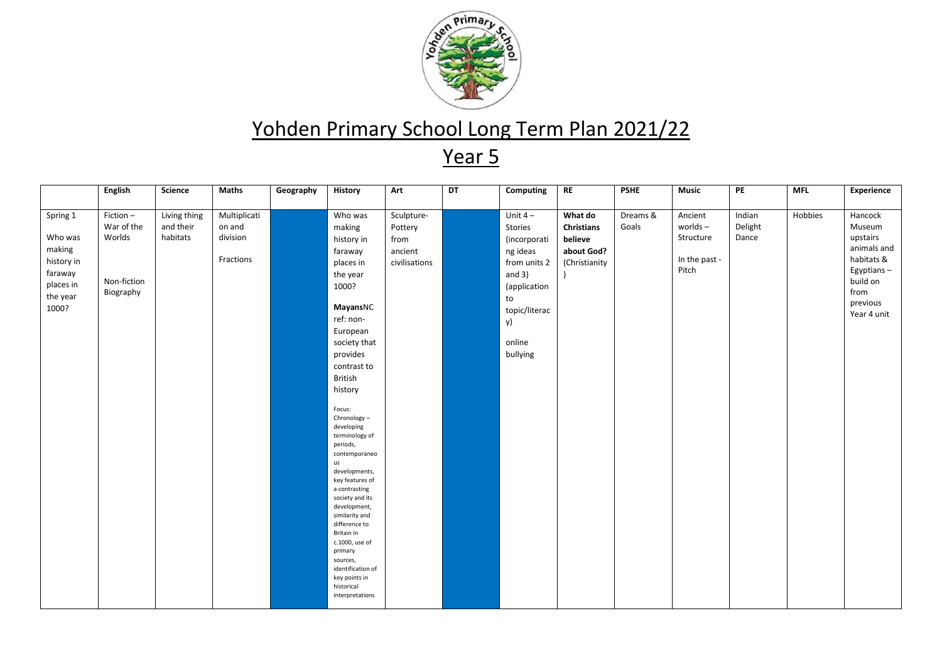

|                                                                                          |                                                                                | Science                               | Maths                                           |           | History                                                                                                                                                                                                                                                                                                                                                                                                                                                     | Art                                                       |    |                                                                                                                                                              | <b>RE</b>                                                              |                                  | <b>Music</b>                                                 |                                  |                       | Experience                                                                                                              |
|------------------------------------------------------------------------------------------|--------------------------------------------------------------------------------|---------------------------------------|-------------------------------------------------|-----------|-------------------------------------------------------------------------------------------------------------------------------------------------------------------------------------------------------------------------------------------------------------------------------------------------------------------------------------------------------------------------------------------------------------------------------------------------------------|-----------------------------------------------------------|----|--------------------------------------------------------------------------------------------------------------------------------------------------------------|------------------------------------------------------------------------|----------------------------------|--------------------------------------------------------------|----------------------------------|-----------------------|-------------------------------------------------------------------------------------------------------------------------|
| Spring 1<br>Who was<br>making<br>history in<br>faraway<br>places in<br>the year<br>1000? | <b>English</b><br>Fiction-<br>War of the<br>Worlds<br>Non-fiction<br>Biography | Living thing<br>and their<br>habitats | Multiplicati<br>on and<br>division<br>Fractions | Geography | Who was<br>making<br>history in<br>faraway<br>places in<br>the year<br>1000?<br>MayansNC<br>ref: non-<br>European<br>society that<br>provides<br>contrast to<br><b>British</b><br>history<br>Focus:<br>Chronology-<br>developing<br>terminology of<br>periods,<br>contemporaneo<br>us<br>developments,<br>key features of<br>a contrasting<br>society and its<br>development,<br>similarity and<br>difference to<br>Britain in<br>c.1000, use of<br>primary | Sculpture-<br>Pottery<br>from<br>ancient<br>civilisations | DT | Computing<br>Unit $4-$<br>Stories<br>(incorporati<br>ng ideas<br>from units 2<br>and $3)$<br>(application<br>to<br>topic/literac<br>y)<br>online<br>bullying | What do<br><b>Christians</b><br>believe<br>about God?<br>(Christianity | <b>PSHE</b><br>Dreams &<br>Goals | Ancient<br>$worlds -$<br>Structure<br>In the past -<br>Pitch | PE<br>Indian<br>Delight<br>Dance | <b>MFL</b><br>Hobbies | Hancock<br>Museum<br>upstairs<br>animals and<br>habitats &<br>Egyptians-<br>build on<br>from<br>previous<br>Year 4 unit |
|                                                                                          |                                                                                |                                       |                                                 |           | sources,<br>identification of<br>key points in<br>historical<br>interpretations                                                                                                                                                                                                                                                                                                                                                                             |                                                           |    |                                                                                                                                                              |                                                                        |                                  |                                                              |                                  |                       |                                                                                                                         |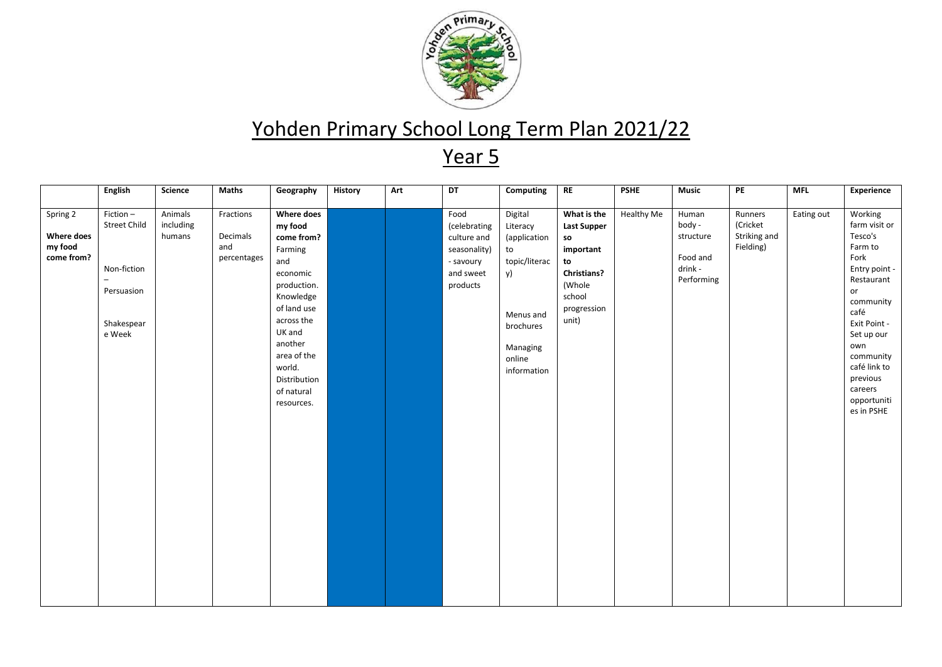

|                                                 | <b>English</b>                                                                                            | Science                        | Maths                                       | Geography                                                                                                                                                                                                                   | History | Art | DT                                                                                        | Computing                                                                                                                       | <b>RE</b>                                                                                                                    | <b>PSHE</b> | <b>Music</b>                                                      | PE                                               | <b>MFL</b> | <b>Experience</b>                                                                                                                                                                                                                      |
|-------------------------------------------------|-----------------------------------------------------------------------------------------------------------|--------------------------------|---------------------------------------------|-----------------------------------------------------------------------------------------------------------------------------------------------------------------------------------------------------------------------------|---------|-----|-------------------------------------------------------------------------------------------|---------------------------------------------------------------------------------------------------------------------------------|------------------------------------------------------------------------------------------------------------------------------|-------------|-------------------------------------------------------------------|--------------------------------------------------|------------|----------------------------------------------------------------------------------------------------------------------------------------------------------------------------------------------------------------------------------------|
| Spring 2<br>Where does<br>my food<br>come from? | Fiction-<br>Street Child<br>Non-fiction<br>$\overline{\phantom{0}}$<br>Persuasion<br>Shakespear<br>e Week | Animals<br>including<br>humans | Fractions<br>Decimals<br>and<br>percentages | <b>Where does</b><br>my food<br>come from?<br>Farming<br>and<br>economic<br>production.<br>Knowledge<br>of land use<br>across the<br>UK and<br>another<br>area of the<br>world.<br>Distribution<br>of natural<br>resources. |         |     | Food<br>(celebrating<br>culture and<br>seasonality)<br>- savoury<br>and sweet<br>products | Digital<br>Literacy<br>(application<br>to<br>topic/literac<br>y)<br>Menus and<br>brochures<br>Managing<br>online<br>information | What is the<br><b>Last Supper</b><br>so<br>important<br>to<br><b>Christians?</b><br>(Whole<br>school<br>progression<br>unit) | Healthy Me  | Human<br>body -<br>structure<br>Food and<br>drink -<br>Performing | Runners<br>(Cricket<br>Striking and<br>Fielding) | Eating out | Working<br>farm visit or<br>Tesco's<br>Farm to<br>Fork<br>Entry point -<br>Restaurant<br>or<br>community<br>café<br>Exit Point -<br>Set up our<br>own<br>community<br>café link to<br>previous<br>careers<br>opportuniti<br>es in PSHE |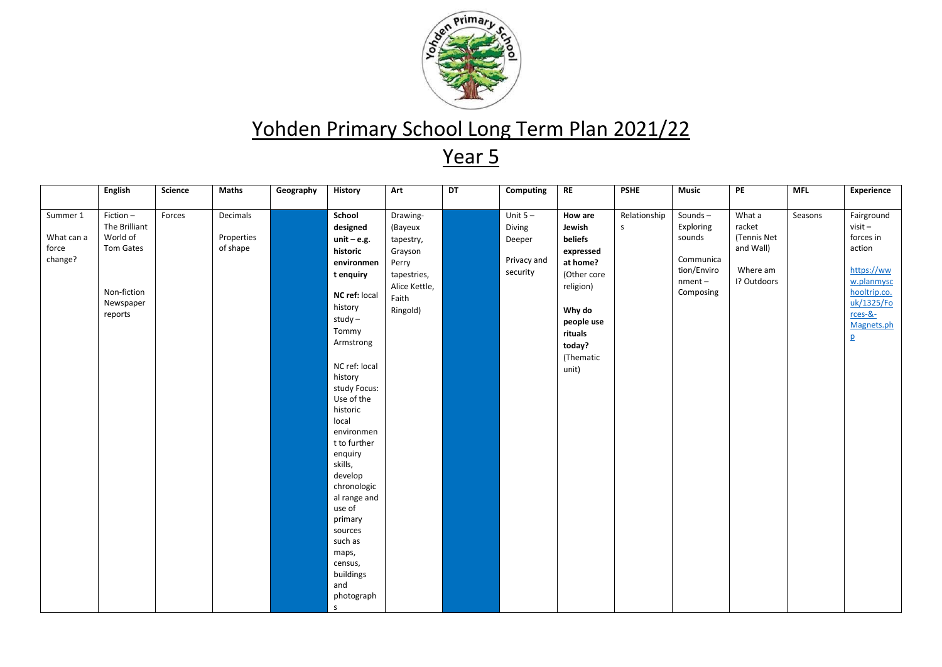

|            | <b>English</b> | Science | <b>Maths</b> | Geography | <b>History</b>         | Art           | DT | Computing   | <b>RE</b>   | <b>PSHE</b>  | <b>Music</b> | PE          | <b>MFL</b> | Experience     |
|------------|----------------|---------|--------------|-----------|------------------------|---------------|----|-------------|-------------|--------------|--------------|-------------|------------|----------------|
| Summer 1   | Fiction-       | Forces  | Decimals     |           | School                 | Drawing-      |    | Unit $5 -$  | How are     | Relationship | Sounds-      | What a      | Seasons    | Fairground     |
|            | The Brilliant  |         |              |           | designed               | (Bayeux       |    | Diving      | Jewish      | S.           | Exploring    | racket      |            | $visit -$      |
| What can a | World of       |         | Properties   |           | $unit - e.g.$          | tapestry,     |    | Deeper      | beliefs     |              | sounds       | (Tennis Net |            | forces in      |
| force      | Tom Gates      |         | of shape     |           | historic               | Grayson       |    |             | expressed   |              |              | and Wall)   |            | action         |
| change?    |                |         |              |           | environmen             | Perry         |    | Privacy and | at home?    |              | Communica    |             |            |                |
|            |                |         |              |           | t enquiry              | tapestries,   |    | security    | (Other core |              | tion/Enviro  | Where am    |            | https://ww     |
|            |                |         |              |           |                        | Alice Kettle, |    |             | religion)   |              | $nment -$    | I? Outdoors |            | w.planmysc     |
|            | Non-fiction    |         |              |           | NC ref: local          | Faith         |    |             |             |              | Composing    |             |            | hooltrip.co.   |
|            | Newspaper      |         |              |           | history                | Ringold)      |    |             | Why do      |              |              |             |            | uk/1325/Fo     |
|            | reports        |         |              |           | $study -$              |               |    |             | people use  |              |              |             |            | $r$ ces-&-     |
|            |                |         |              |           | Tommy                  |               |    |             | rituals     |              |              |             |            | Magnets.ph     |
|            |                |         |              |           | Armstrong              |               |    |             | today?      |              |              |             |            | $\overline{p}$ |
|            |                |         |              |           |                        |               |    |             | (Thematic   |              |              |             |            |                |
|            |                |         |              |           | NC ref: local          |               |    |             | unit)       |              |              |             |            |                |
|            |                |         |              |           | history                |               |    |             |             |              |              |             |            |                |
|            |                |         |              |           | study Focus:           |               |    |             |             |              |              |             |            |                |
|            |                |         |              |           | Use of the             |               |    |             |             |              |              |             |            |                |
|            |                |         |              |           | historic               |               |    |             |             |              |              |             |            |                |
|            |                |         |              |           | local                  |               |    |             |             |              |              |             |            |                |
|            |                |         |              |           | environmen             |               |    |             |             |              |              |             |            |                |
|            |                |         |              |           | t to further           |               |    |             |             |              |              |             |            |                |
|            |                |         |              |           | enquiry                |               |    |             |             |              |              |             |            |                |
|            |                |         |              |           | skills,                |               |    |             |             |              |              |             |            |                |
|            |                |         |              |           | develop                |               |    |             |             |              |              |             |            |                |
|            |                |         |              |           | chronologic            |               |    |             |             |              |              |             |            |                |
|            |                |         |              |           | al range and<br>use of |               |    |             |             |              |              |             |            |                |
|            |                |         |              |           | primary                |               |    |             |             |              |              |             |            |                |
|            |                |         |              |           | sources                |               |    |             |             |              |              |             |            |                |
|            |                |         |              |           | such as                |               |    |             |             |              |              |             |            |                |
|            |                |         |              |           | maps,                  |               |    |             |             |              |              |             |            |                |
|            |                |         |              |           | census,                |               |    |             |             |              |              |             |            |                |
|            |                |         |              |           | buildings              |               |    |             |             |              |              |             |            |                |
|            |                |         |              |           | and                    |               |    |             |             |              |              |             |            |                |
|            |                |         |              |           | photograph             |               |    |             |             |              |              |             |            |                |
|            |                |         |              |           | $\mathsf{s}$           |               |    |             |             |              |              |             |            |                |